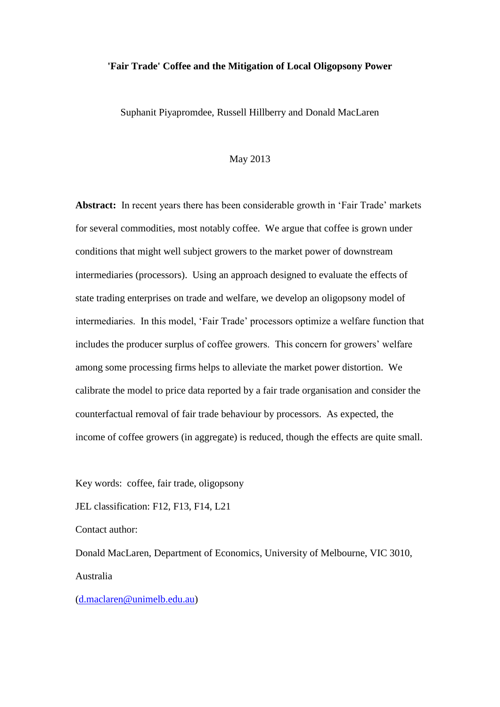### **'Fair Trade' Coffee and the Mitigation of Local Oligopsony Power**

Suphanit Piyapromdee, Russell Hillberry and Donald MacLaren

### May 2013

**Abstract:** In recent years there has been considerable growth in 'Fair Trade' markets for several commodities, most notably coffee. We argue that coffee is grown under conditions that might well subject growers to the market power of downstream intermediaries (processors). Using an approach designed to evaluate the effects of state trading enterprises on trade and welfare, we develop an oligopsony model of intermediaries. In this model, 'Fair Trade' processors optimize a welfare function that includes the producer surplus of coffee growers. This concern for growers' welfare among some processing firms helps to alleviate the market power distortion. We calibrate the model to price data reported by a fair trade organisation and consider the counterfactual removal of fair trade behaviour by processors. As expected, the income of coffee growers (in aggregate) is reduced, though the effects are quite small.

Key words: coffee, fair trade, oligopsony

JEL classification: F12, F13, F14, L21

Contact author:

Donald MacLaren, Department of Economics, University of Melbourne, VIC 3010, Australia

[\(d.maclaren@unimelb.edu.au\)](mailto:d.maclaren@unimelb.edu.au)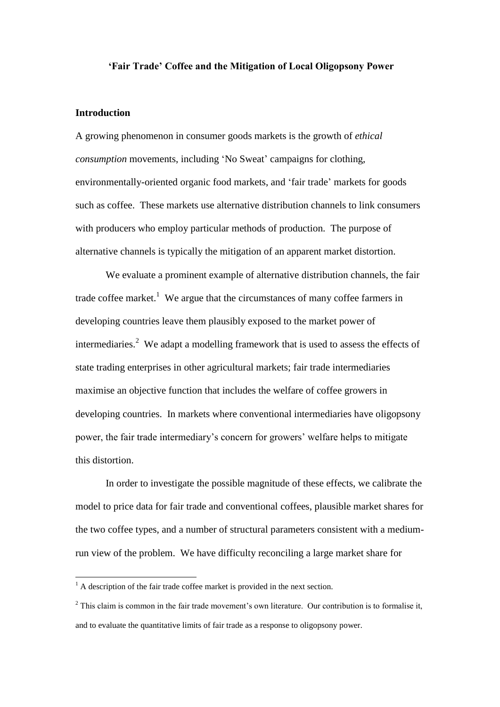### **'Fair Trade' Coffee and the Mitigation of Local Oligopsony Power**

### **Introduction**

 $\overline{a}$ 

A growing phenomenon in consumer goods markets is the growth of *ethical consumption* movements, including 'No Sweat' campaigns for clothing, environmentally-oriented organic food markets, and 'fair trade' markets for goods such as coffee. These markets use alternative distribution channels to link consumers with producers who employ particular methods of production. The purpose of alternative channels is typically the mitigation of an apparent market distortion.

We evaluate a prominent example of alternative distribution channels, the fair trade coffee market.<sup>1</sup> We argue that the circumstances of many coffee farmers in developing countries leave them plausibly exposed to the market power of intermediaries.<sup>2</sup> We adapt a modelling framework that is used to assess the effects of state trading enterprises in other agricultural markets; fair trade intermediaries maximise an objective function that includes the welfare of coffee growers in developing countries. In markets where conventional intermediaries have oligopsony power, the fair trade intermediary's concern for growers' welfare helps to mitigate this distortion.

In order to investigate the possible magnitude of these effects, we calibrate the model to price data for fair trade and conventional coffees, plausible market shares for the two coffee types, and a number of structural parameters consistent with a mediumrun view of the problem. We have difficulty reconciling a large market share for

 $<sup>1</sup>$  A description of the fair trade coffee market is provided in the next section.</sup>

 $2$  This claim is common in the fair trade movement's own literature. Our contribution is to formalise it, and to evaluate the quantitative limits of fair trade as a response to oligopsony power.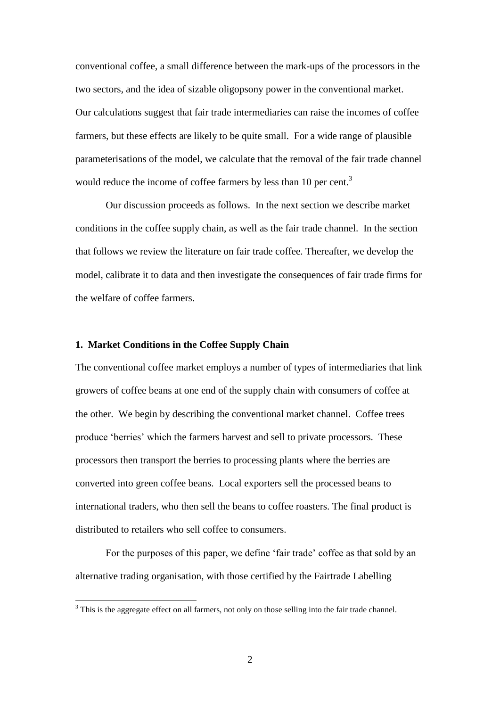conventional coffee, a small difference between the mark-ups of the processors in the two sectors, and the idea of sizable oligopsony power in the conventional market. Our calculations suggest that fair trade intermediaries can raise the incomes of coffee farmers, but these effects are likely to be quite small. For a wide range of plausible parameterisations of the model, we calculate that the removal of the fair trade channel would reduce the income of coffee farmers by less than 10 per cent.<sup>3</sup>

Our discussion proceeds as follows. In the next section we describe market conditions in the coffee supply chain, as well as the fair trade channel. In the section that follows we review the literature on fair trade coffee. Thereafter, we develop the model, calibrate it to data and then investigate the consequences of fair trade firms for the welfare of coffee farmers.

# **1. Market Conditions in the Coffee Supply Chain**

 $\overline{a}$ 

The conventional coffee market employs a number of types of intermediaries that link growers of coffee beans at one end of the supply chain with consumers of coffee at the other. We begin by describing the conventional market channel. Coffee trees produce 'berries' which the farmers harvest and sell to private processors. These processors then transport the berries to processing plants where the berries are converted into green coffee beans. Local exporters sell the processed beans to international traders, who then sell the beans to coffee roasters. The final product is distributed to retailers who sell coffee to consumers.

For the purposes of this paper, we define 'fair trade' coffee as that sold by an alternative trading organisation, with those certified by the Fairtrade Labelling

<sup>&</sup>lt;sup>3</sup> This is the aggregate effect on all farmers, not only on those selling into the fair trade channel.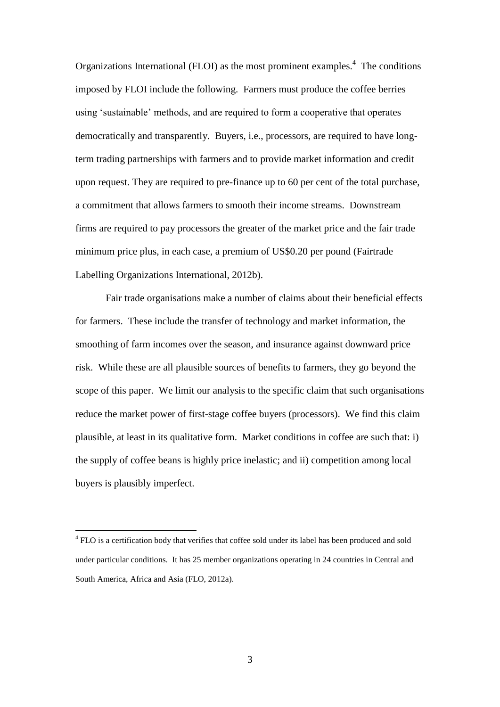Organizations International (FLOI) as the most prominent examples.<sup>4</sup> The conditions imposed by FLOI include the following. Farmers must produce the coffee berries using 'sustainable' methods, and are required to form a cooperative that operates democratically and transparently. Buyers, i.e., processors, are required to have longterm trading partnerships with farmers and to provide market information and credit upon request. They are required to pre-finance up to 60 per cent of the total purchase, a commitment that allows farmers to smooth their income streams. Downstream firms are required to pay processors the greater of the market price and the fair trade minimum price plus, in each case, a premium of US\$0.20 per pound (Fairtrade Labelling Organizations International, 2012b).

Fair trade organisations make a number of claims about their beneficial effects for farmers. These include the transfer of technology and market information, the smoothing of farm incomes over the season, and insurance against downward price risk. While these are all plausible sources of benefits to farmers, they go beyond the scope of this paper. We limit our analysis to the specific claim that such organisations reduce the market power of first-stage coffee buyers (processors). We find this claim plausible, at least in its qualitative form. Market conditions in coffee are such that: i) the supply of coffee beans is highly price inelastic; and ii) competition among local buyers is plausibly imperfect.

<sup>&</sup>lt;sup>4</sup> FLO is a certification body that verifies that coffee sold under its label has been produced and sold under particular conditions. It has 25 member organizations operating in 24 countries in Central and South America, Africa and Asia (FLO, 2012a).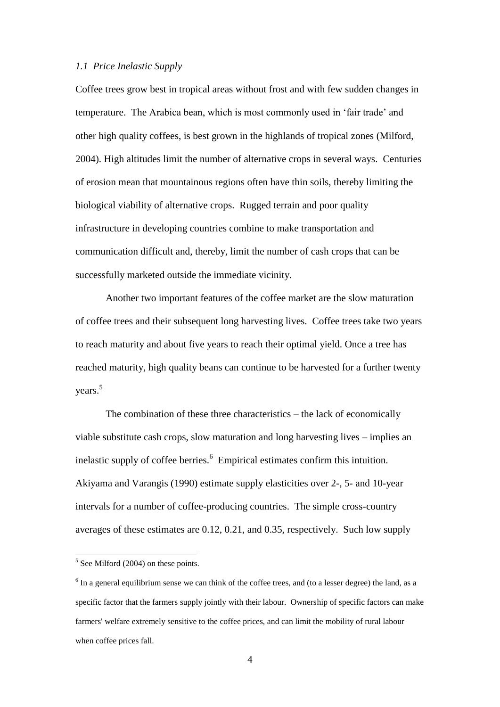### *1.1 Price Inelastic Supply*

Coffee trees grow best in tropical areas without frost and with few sudden changes in temperature. The Arabica bean, which is most commonly used in 'fair trade' and other high quality coffees, is best grown in the highlands of tropical zones (Milford, 2004). High altitudes limit the number of alternative crops in several ways. Centuries of erosion mean that mountainous regions often have thin soils, thereby limiting the biological viability of alternative crops. Rugged terrain and poor quality infrastructure in developing countries combine to make transportation and communication difficult and, thereby, limit the number of cash crops that can be successfully marketed outside the immediate vicinity.

Another two important features of the coffee market are the slow maturation of coffee trees and their subsequent long harvesting lives. Coffee trees take two years to reach maturity and about five years to reach their optimal yield. Once a tree has reached maturity, high quality beans can continue to be harvested for a further twenty years.<sup>5</sup>

The combination of these three characteristics – the lack of economically viable substitute cash crops, slow maturation and long harvesting lives – implies an inelastic supply of coffee berries.<sup>6</sup> Empirical estimates confirm this intuition. Akiyama and Varangis (1990) estimate supply elasticities over 2-, 5- and 10-year intervals for a number of coffee-producing countries. The simple cross-country averages of these estimates are 0.12, 0.21, and 0.35, respectively. Such low supply

 $<sup>5</sup>$  See Milford (2004) on these points.</sup>

 $6$  In a general equilibrium sense we can think of the coffee trees, and (to a lesser degree) the land, as a specific factor that the farmers supply jointly with their labour. Ownership of specific factors can make farmers' welfare extremely sensitive to the coffee prices, and can limit the mobility of rural labour when coffee prices fall.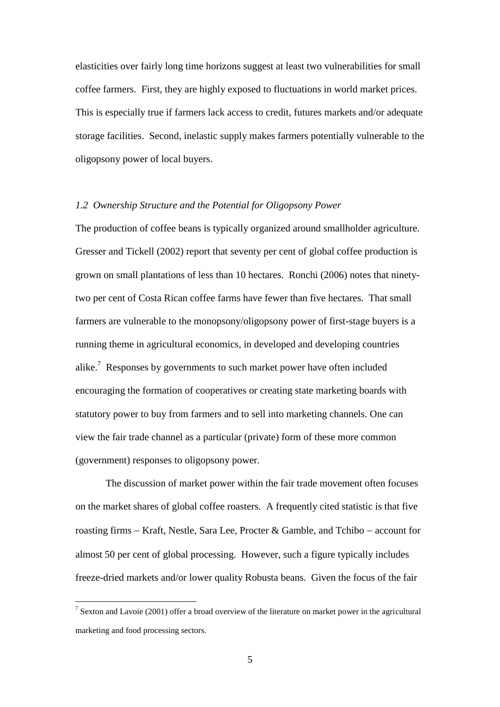elasticities over fairly long time horizons suggest at least two vulnerabilities for small coffee farmers. First, they are highly exposed to fluctuations in world market prices. This is especially true if farmers lack access to credit, futures markets and/or adequate storage facilities. Second, inelastic supply makes farmers potentially vulnerable to the oligopsony power of local buyers.

### *1.2 Ownership Structure and the Potential for Oligopsony Power*

The production of coffee beans is typically organized around smallholder agriculture. Gresser and Tickell (2002) report that seventy per cent of global coffee production is grown on small plantations of less than 10 hectares. Ronchi (2006) notes that ninetytwo per cent of Costa Rican coffee farms have fewer than five hectares. That small farmers are vulnerable to the monopsony/oligopsony power of first-stage buyers is a running theme in agricultural economics, in developed and developing countries alike.<sup>7</sup> Responses by governments to such market power have often included encouraging the formation of cooperatives or creating state marketing boards with statutory power to buy from farmers and to sell into marketing channels. One can view the fair trade channel as a particular (private) form of these more common (government) responses to oligopsony power.

The discussion of market power within the fair trade movement often focuses on the market shares of global coffee roasters. A frequently cited statistic is that five roasting firms  $-$  Kraft, Nestle, Sara Lee, Procter & Gamble, and Tchibo  $-$  account for almost 50 per cent of global processing. However, such a figure typically includes freeze-dried markets and/or lower quality Robusta beans. Given the focus of the fair

<sup>&</sup>lt;sup>7</sup> Sexton and Lavoie (2001) offer a broad overview of the literature on market power in the agricultural marketing and food processing sectors.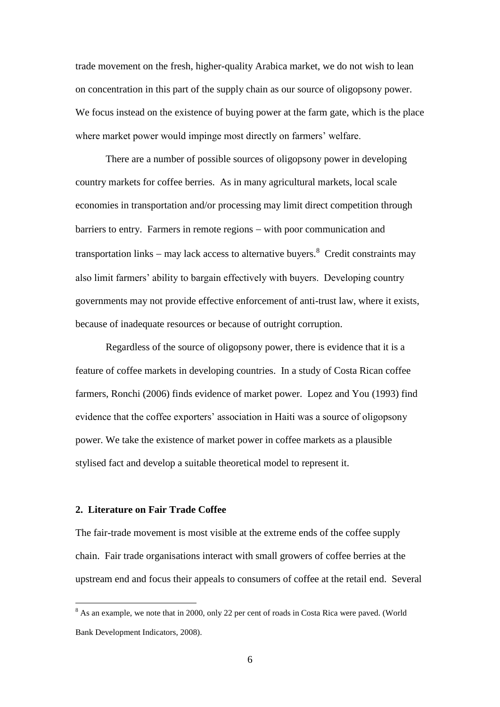trade movement on the fresh, higher-quality Arabica market, we do not wish to lean on concentration in this part of the supply chain as our source of oligopsony power. We focus instead on the existence of buying power at the farm gate, which is the place where market power would impinge most directly on farmers' welfare.

There are a number of possible sources of oligopsony power in developing country markets for coffee berries. As in many agricultural markets, local scale economies in transportation and/or processing may limit direct competition through barriers to entry. Farmers in remote regions – with poor communication and transportation links – may lack access to alternative buyers.<sup>8</sup> Credit constraints may also limit farmers' ability to bargain effectively with buyers. Developing country governments may not provide effective enforcement of anti-trust law, where it exists, because of inadequate resources or because of outright corruption.

Regardless of the source of oligopsony power, there is evidence that it is a feature of coffee markets in developing countries. In a study of Costa Rican coffee farmers, Ronchi (2006) finds evidence of market power. Lopez and You (1993) find evidence that the coffee exporters' association in Haiti was a source of oligopsony power. We take the existence of market power in coffee markets as a plausible stylised fact and develop a suitable theoretical model to represent it.

# **2. Literature on Fair Trade Coffee**

 $\overline{a}$ 

The fair-trade movement is most visible at the extreme ends of the coffee supply chain. Fair trade organisations interact with small growers of coffee berries at the upstream end and focus their appeals to consumers of coffee at the retail end. Several

<sup>&</sup>lt;sup>8</sup> As an example, we note that in 2000, only 22 per cent of roads in Costa Rica were paved. (World Bank Development Indicators, 2008).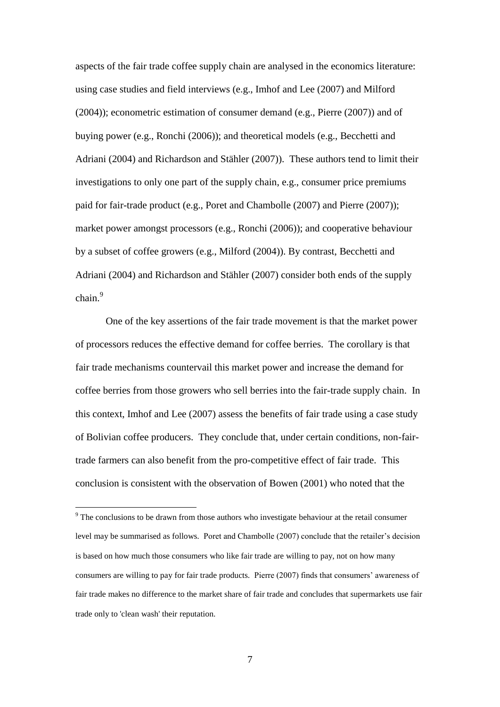aspects of the fair trade coffee supply chain are analysed in the economics literature: using case studies and field interviews (e.g., Imhof and Lee (2007) and Milford (2004)); econometric estimation of consumer demand (e.g., Pierre (2007)) and of buying power (e.g., Ronchi (2006)); and theoretical models (e.g., Becchetti and Adriani (2004) and Richardson and Stähler (2007)). These authors tend to limit their investigations to only one part of the supply chain, e.g., consumer price premiums paid for fair-trade product (e.g., Poret and Chambolle (2007) and Pierre (2007)); market power amongst processors (e.g., Ronchi (2006)); and cooperative behaviour by a subset of coffee growers (e.g., Milford (2004)). By contrast, Becchetti and Adriani (2004) and Richardson and Stähler (2007) consider both ends of the supply chain.<sup>9</sup>

One of the key assertions of the fair trade movement is that the market power of processors reduces the effective demand for coffee berries. The corollary is that fair trade mechanisms countervail this market power and increase the demand for coffee berries from those growers who sell berries into the fair-trade supply chain. In this context, Imhof and Lee (2007) assess the benefits of fair trade using a case study of Bolivian coffee producers. They conclude that, under certain conditions, non-fairtrade farmers can also benefit from the pro-competitive effect of fair trade. This conclusion is consistent with the observation of Bowen (2001) who noted that the

 $9$ <sup>9</sup> The conclusions to be drawn from those authors who investigate behaviour at the retail consumer level may be summarised as follows. Poret and Chambolle (2007) conclude that the retailer's decision is based on how much those consumers who like fair trade are willing to pay, not on how many consumers are willing to pay for fair trade products. Pierre (2007) finds that consumers' awareness of fair trade makes no difference to the market share of fair trade and concludes that supermarkets use fair trade only to 'clean wash' their reputation.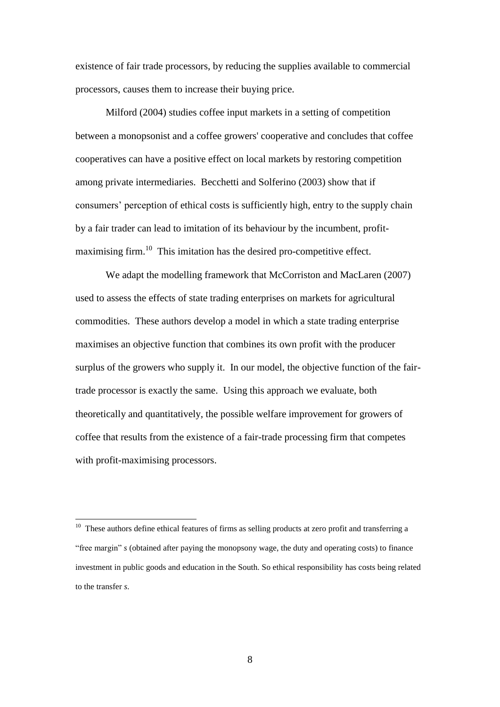existence of fair trade processors, by reducing the supplies available to commercial processors, causes them to increase their buying price.

Milford (2004) studies coffee input markets in a setting of competition between a monopsonist and a coffee growers' cooperative and concludes that coffee cooperatives can have a positive effect on local markets by restoring competition among private intermediaries. Becchetti and Solferino (2003) show that if consumers' perception of ethical costs is sufficiently high, entry to the supply chain by a fair trader can lead to imitation of its behaviour by the incumbent, profitmaximising firm.<sup>10</sup> This imitation has the desired pro-competitive effect.

We adapt the modelling framework that McCorriston and MacLaren (2007) used to assess the effects of state trading enterprises on markets for agricultural commodities. These authors develop a model in which a state trading enterprise maximises an objective function that combines its own profit with the producer surplus of the growers who supply it. In our model, the objective function of the fairtrade processor is exactly the same. Using this approach we evaluate, both theoretically and quantitatively, the possible welfare improvement for growers of coffee that results from the existence of a fair-trade processing firm that competes with profit-maximising processors.

 10 These authors define ethical features of firms as selling products at zero profit and transferring a "free margin" *s* (obtained after paying the monopsony wage, the duty and operating costs) to finance investment in public goods and education in the South. So ethical responsibility has costs being related to the transfer *s*.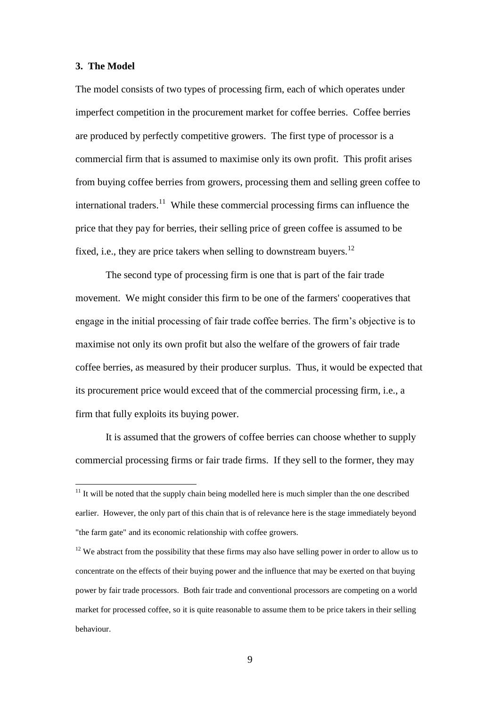### **3. The Model**

 $\overline{a}$ 

The model consists of two types of processing firm, each of which operates under imperfect competition in the procurement market for coffee berries. Coffee berries are produced by perfectly competitive growers. The first type of processor is a commercial firm that is assumed to maximise only its own profit. This profit arises from buying coffee berries from growers, processing them and selling green coffee to international traders.<sup>11</sup> While these commercial processing firms can influence the price that they pay for berries, their selling price of green coffee is assumed to be fixed, i.e., they are price takers when selling to downstream buyers.<sup>12</sup>

The second type of processing firm is one that is part of the fair trade movement. We might consider this firm to be one of the farmers' cooperatives that engage in the initial processing of fair trade coffee berries. The firm's objective is to maximise not only its own profit but also the welfare of the growers of fair trade coffee berries, as measured by their producer surplus. Thus, it would be expected that its procurement price would exceed that of the commercial processing firm, i.e., a firm that fully exploits its buying power.

It is assumed that the growers of coffee berries can choose whether to supply commercial processing firms or fair trade firms. If they sell to the former, they may

 $11$  It will be noted that the supply chain being modelled here is much simpler than the one described earlier. However, the only part of this chain that is of relevance here is the stage immediately beyond "the farm gate" and its economic relationship with coffee growers.

<sup>&</sup>lt;sup>12</sup> We abstract from the possibility that these firms may also have selling power in order to allow us to concentrate on the effects of their buying power and the influence that may be exerted on that buying power by fair trade processors. Both fair trade and conventional processors are competing on a world market for processed coffee, so it is quite reasonable to assume them to be price takers in their selling behaviour.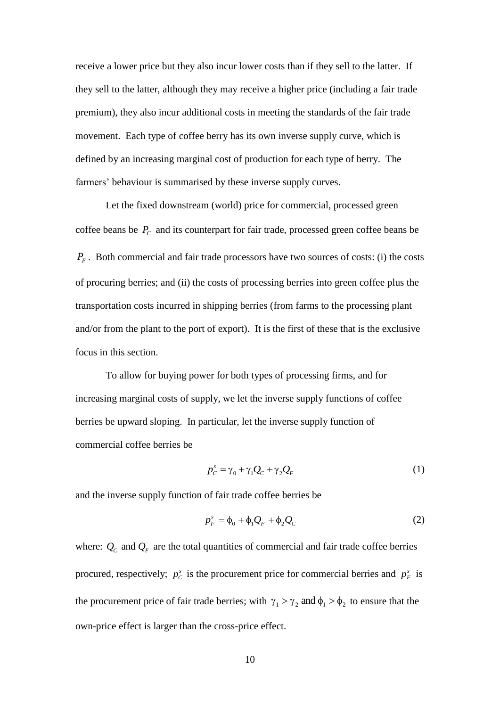receive a lower price but they also incur lower costs than if they sell to the latter. If they sell to the latter, although they may receive a higher price (including a fair trade premium), they also incur additional costs in meeting the standards of the fair trade movement. Each type of coffee berry has its own inverse supply curve, which is defined by an increasing marginal cost of production for each type of berry. The farmers' behaviour is summarised by these inverse supply curves.

Let the fixed downstream (world) price for commercial, processed green coffee beans be  $P_c$  and its counterpart for fair trade, processed green coffee beans be  $P_F$ . Both commercial and fair trade processors have two sources of costs: (i) the costs of procuring berries; and (ii) the costs of processing berries into green coffee plus the transportation costs incurred in shipping berries (from farms to the processing plant and/or from the plant to the port of export). It is the first of these that is the exclusive focus in this section.

To allow for buying power for both types of processing firms, and for increasing marginal costs of supply, we let the inverse supply functions of coffee berries be upward sloping. In particular, let the inverse supply function of commercial coffee berries be

$$
p_C^s = \gamma_0 + \gamma_1 Q_C + \gamma_2 Q_F \tag{1}
$$

and the inverse supply function of fair trade coffee berries be

$$
p_F^s = \phi_0 + \phi_1 Q_F + \phi_2 Q_C \tag{2}
$$

where:  $Q_c$  and  $Q_F$  are the total quantities of commercial and fair trade coffee berries procured, respectively;  $p_c^s$  is the procurement price for commercial berries and  $p_F^s$  is the procurement price of fair trade berries; with  $\gamma_1 > \gamma_2$  and  $\phi_1 > \phi_2$  to ensure that the own-price effect is larger than the cross-price effect.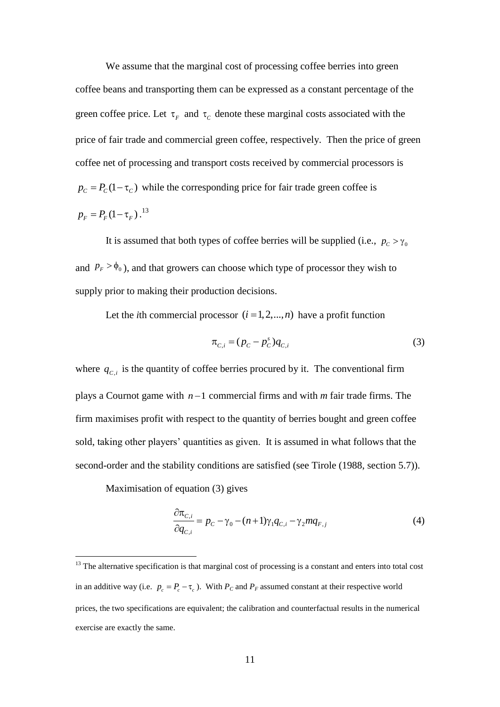We assume that the marginal cost of processing coffee berries into green coffee beans and transporting them can be expressed as a constant percentage of the green coffee price. Let  $\tau_F$  and  $\tau_C$  denote these marginal costs associated with the price of fair trade and commercial green coffee, respectively. Then the price of green coffee net of processing and transport costs received by commercial processors is  $p_c = P_c(1 - \tau_c)$  while the corresponding price for fair trade green coffee is  $p_F = P_F (1 - \tau_F)$ .<sup>13</sup>

It is assumed that both types of coffee berries will be supplied (i.e.,  $p_c > \gamma_0$ and  $P_F > \phi_0$ ), and that growers can choose which type of processor they wish to supply prior to making their production decisions.

Let the *i*th commercial processor  $(i = 1, 2, ..., n)$  have a profit function

$$
\pi_{C,i} = (p_C - p_C^s) q_{C,i} \tag{3}
$$

where  $q_{C,i}$  is the quantity of coffee berries procured by it. The conventional firm plays a Cournot game with  $n-1$  commercial firms and with  $m$  fair trade firms. The firm maximises profit with respect to the quantity of berries bought and green coffee sold, taking other players' quantities as given. It is assumed in what follows that the second-order and the stability conditions are satisfied (see Tirole (1988, section 5.7)).

Maximisation of equation (3) gives

$$
\frac{\partial \pi_{C,i}}{\partial q_{C,i}} = p_C - \gamma_0 - (n+1)\gamma_1 q_{C,i} - \gamma_2 m q_{F,j}
$$
(4)

 $13$  The alternative specification is that marginal cost of processing is a constant and enters into total cost in an additive way (i.e.  $p_c = P_c - \tau_c$ ). With  $P_c$  and  $P_F$  assumed constant at their respective world prices, the two specifications are equivalent; the calibration and counterfactual results in the numerical exercise are exactly the same.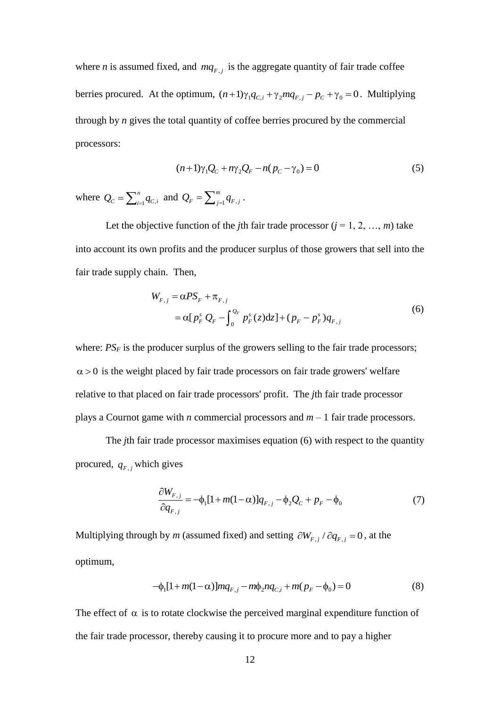where *n* is assumed fixed, and  $mq_{F,j}$  is the aggregate quantity of fair trade coffee berries procured. At the optimum,  $(n+1)\gamma_1 q_{C,i} + \gamma_2 mq_{F,j} - p_C + \gamma_0 = 0$ . Multiplying through by *n* gives the total quantity of coffee berries procured by the commercial processors:

$$
(n+1)\gamma_1 Q_C + n\gamma_2 Q_F - n(p_C - \gamma_0) = 0
$$
\n(5)

where  $Q_C = \sum_{i=1}^{n} q_{C_i}$ *n*  $Q_C = \sum_{i=1}^n q_{C,i}$  and  $Q_F = \sum_{j=1}^m q_{F,j}$ *m*  $\mathcal{Q}_{\scriptscriptstyle F} = \sum_{\scriptscriptstyle j=1}^m q_{\scriptscriptstyle F,j}$  .

Let the objective function of the *j*th fair trade processor  $(j = 1, 2, ..., m)$  take into account its own profits and the producer surplus of those growers that sell into the fair trade supply chain. Then,

$$
W_{F,j} = \alpha PS_F + \pi_{F,j}
$$
  
=  $\alpha [p_F^s Q_F - \int_0^{Q_F} p_F^s(z) dz] + (p_F - p_F^s) q_{F,j}$  (6)

where:  $PS_F$  is the producer surplus of the growers selling to the fair trade processors;  $\alpha$  > 0 is the weight placed by fair trade processors on fair trade growers' welfare relative to that placed on fair trade processors' profit. The *j*th fair trade processor plays a Cournot game with *n* commercial processors and *m* – 1 fair trade processors.

The *j*th fair trade processor maximises equation (6) with respect to the quantity procured,  $q_{F, j}$  which gives

$$
\frac{\partial W_{F,j}}{\partial q_{F,j}} = -\phi_1 [1 + m(1 - \alpha)] q_{F,j} - \phi_2 Q_C + p_F - \phi_0 \tag{7}
$$

Multiplying through by *m* (assumed fixed) and setting  $\partial W_{F,j} / \partial q_{F,j} = 0$ , at the optimum,

$$
-\phi_1[1+m(1-\alpha)]mq_{F,j} - m\phi_2nq_{C,i} + m(p_F - \phi_0) = 0
$$
\n(8)

The effect of  $\alpha$  is to rotate clockwise the perceived marginal expenditure function of the fair trade processor, thereby causing it to procure more and to pay a higher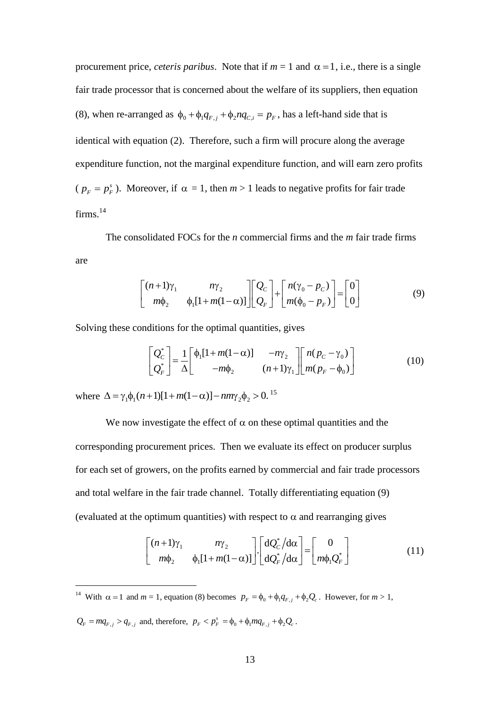procurement price, *ceteris paribus*. Note that if  $m = 1$  and  $\alpha = 1$ , i.e., there is a single fair trade processor that is concerned about the welfare of its suppliers, then equation (8), when re-arranged as  $\phi_0 + \phi_1 q_{F,j} + \phi_2 n q_{C,i} = p_F$ , has a left-hand side that is identical with equation (2). Therefore, such a firm will procure along the average expenditure function, not the marginal expenditure function, and will earn zero profits ( $p_F = p_F^s$ ). Moreover, if  $\alpha = 1$ , then  $m > 1$  leads to negative profits for fair trade firms.<sup>14</sup>

The consolidated FOCs for the *n* commercial firms and the *m* fair trade firms are

$$
\begin{bmatrix} (n+1)\gamma_1 & n\gamma_2 \\ m\phi_2 & \phi_1[1+m(1-\alpha)] \end{bmatrix} \begin{bmatrix} Q_C \\ Q_F \end{bmatrix} + \begin{bmatrix} n(\gamma_0 - p_C) \\ m(\phi_0 - p_F) \end{bmatrix} = \begin{bmatrix} 0 \\ 0 \end{bmatrix}
$$
(9)

Solving these conditions for the optimal quantities, gives  
\n
$$
\begin{bmatrix} Q_c^* \\ Q_F^* \end{bmatrix} = \frac{1}{\Delta} \begin{bmatrix} \phi_1[1+m(1-\alpha)] & -n\gamma_2 \\ -m\phi_2 & (n+1)\gamma_1 \end{bmatrix} \begin{bmatrix} n(p_c - \gamma_0) \\ m(p_F - \phi_0) \end{bmatrix}
$$
\n(10)

where  $\Delta = \gamma_1 \phi_1 (n+1) [1 + m(1-\alpha)] - n m \gamma_2 \phi_2 > 0$ .<sup>15</sup> 15

We now investigate the effect of  $\alpha$  on these optimal quantities and the corresponding procurement prices. Then we evaluate its effect on producer surplus for each set of growers, on the profits earned by commercial and fair trade processors and total welfare in the fair trade channel. Totally differentiating equation (9)

(evaluated at the optimum quantities) with respect to 
$$
\alpha
$$
 and rearranging gives  
\n
$$
\begin{bmatrix}\n(n+1)\gamma_1 & n\gamma_2 \\
m\phi_2 & \phi_1[1+m(1-\alpha)]\n\end{bmatrix}\n\begin{bmatrix}\ndQ_c^*/d\alpha \\
dQ_r^*/d\alpha\n\end{bmatrix} =\n\begin{bmatrix}\n0 \\
m\phi_1Q_r^*\n\end{bmatrix}
$$
\n(11)

<sup>14</sup> With  $\alpha = 1$  and  $m = 1$ , equation (8) becomes  $p_F = \phi_0 + \phi_1 q_{F,j} + \phi_2 Q_c$ . However, for  $m > 1$ ,

 $Q_F = mq_{F,j} > q_{F,j}$  and, therefore,  $p_F < p_F^s = \phi_0 + \phi_1 mq_{F,j} + \phi_2 Q_c$ .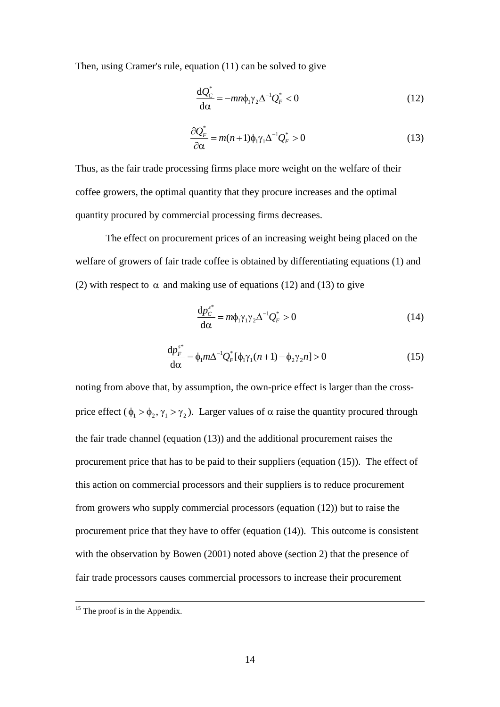Then, using Cramer's rule, equation (11) can be solved to give

$$
\frac{\mathrm{d}Q_{\mathcal{C}}^*}{\mathrm{d}\alpha} = -mn\phi_1\gamma_2\Delta^{-1}Q_F^* < 0\tag{12}
$$

$$
\frac{\partial Q_F^*}{\partial \alpha} = m(n+1)\phi_1 \gamma_1 \Delta^{-1} Q_F^* > 0 \tag{13}
$$

Thus, as the fair trade processing firms place more weight on the welfare of their coffee growers, the optimal quantity that they procure increases and the optimal quantity procured by commercial processing firms decreases.

The effect on procurement prices of an increasing weight being placed on the welfare of growers of fair trade coffee is obtained by differentiating equations (1) and (2) with respect to  $\alpha$  and making use of equations (12) and (13) to give

$$
\frac{\mathrm{d}p_{C}^{s^*}}{\mathrm{d}\alpha} = m\phi_1 \gamma_1 \gamma_2 \Delta^{-1} Q_F^* > 0 \tag{14}
$$

$$
\frac{\mathrm{d}p_F^{s^*}}{\mathrm{d}\alpha} = \phi_1 m \Delta^{-1} Q_F^* [\phi_1 \gamma_1 (n+1) - \phi_2 \gamma_2 n] > 0 \tag{15}
$$

noting from above that, by assumption, the own-price effect is larger than the crossprice effect ( $\phi_1 > \phi_2$ ,  $\gamma_1 > \gamma_2$ ). Larger values of  $\alpha$  raise the quantity procured through the fair trade channel (equation (13)) and the additional procurement raises the procurement price that has to be paid to their suppliers (equation (15)). The effect of this action on commercial processors and their suppliers is to reduce procurement from growers who supply commercial processors (equation (12)) but to raise the procurement price that they have to offer (equation (14)). This outcome is consistent with the observation by Bowen (2001) noted above (section 2) that the presence of fair trade processors causes commercial processors to increase their procurement

 $15$  The proof is in the Appendix.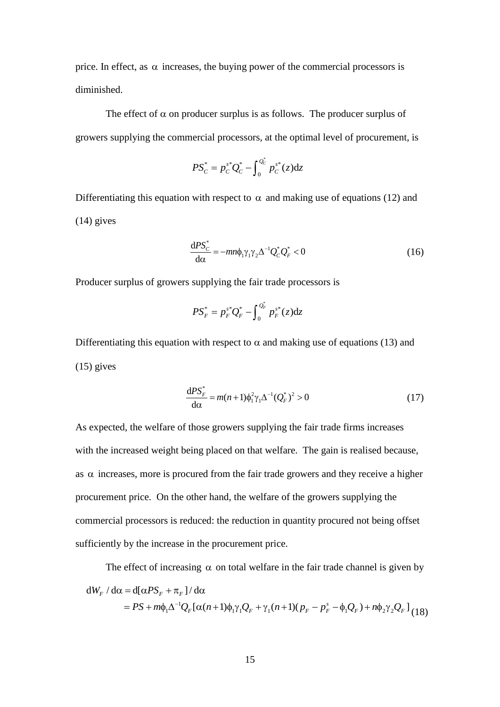price. In effect, as  $\alpha$  increases, the buying power of the commercial processors is diminished.

The effect of  $\alpha$  on producer surplus is as follows. The producer surplus of growers supplying the commercial processors, at the optimal level of procurement, is

$$
PS_C^* = p_C^{s*} Q_C^* - \int_0^{Q_C^*} p_C^{s*}(z) dz
$$

Differentiating this equation with respect to  $\alpha$  and making use of equations (12) and (14) gives

$$
\frac{\mathrm{d}PS_{C}^{*}}{\mathrm{d}\alpha} = -mn\phi_{1}\gamma_{1}\gamma_{2}\Delta^{-1}Q_{C}^{*}Q_{F}^{*} < 0\tag{16}
$$

Producer surplus of growers supplying the fair trade processors is

$$
PS_F^* = p_F^{s^*} Q_F^* - \int_0^{Q_F^*} p_F^{s^*}(z) dz
$$

Differentiating this equation with respect to  $\alpha$  and making use of equations (13) and  $(15)$  gives

$$
\frac{\mathrm{d}PS_F^*}{\mathrm{d}\alpha} = m(n+1)\phi_1^2 \gamma_1 \Delta^{-1} (Q_F^*)^2 > 0 \tag{17}
$$

As expected, the welfare of those growers supplying the fair trade firms increases with the increased weight being placed on that welfare. The gain is realised because, as  $\alpha$  increases, more is procured from the fair trade growers and they receive a higher procurement price. On the other hand, the welfare of the growers supplying the commercial processors is reduced: the reduction in quantity procured not being offset sufficiently by the increase in the procurement price.

The effect of increasing  $\alpha$  on total welfare in the fair trade channel is given by

The effect of increasing 
$$
\alpha
$$
 on total welfare in the fair trade channel is given by  
\n
$$
dW_F / d\alpha = d[\alpha PS_F + \pi_F] / d\alpha
$$
\n
$$
= PS + m\phi_1 \Delta^{-1} Q_F [\alpha(n+1)\phi_1 \gamma_1 Q_F + \gamma_1(n+1)(p_F - p_F^s - \phi_1 Q_F) + n\phi_2 \gamma_2 Q_F ]_{(18)}
$$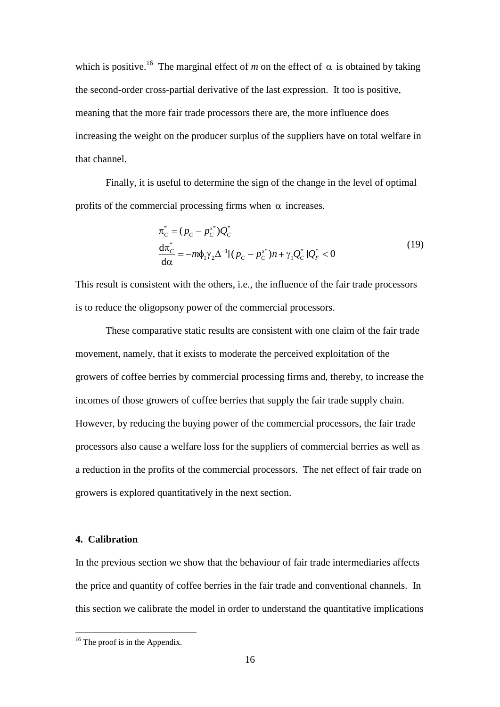which is positive.<sup>16</sup> The marginal effect of m on the effect of  $\alpha$  is obtained by taking the second-order cross-partial derivative of the last expression. It too is positive, meaning that the more fair trade processors there are, the more influence does increasing the weight on the producer surplus of the suppliers have on total welfare in that channel.

Finally, it is useful to determine the sign of the change in the level of optimal profits of the commercial processing firms when  $\alpha$  increases.

$$
\pi_C^* = (p_C - p_C^{s^*})Q_C^*
$$
\n
$$
\frac{d\pi_C^*}{d\alpha} = -m\phi_1\gamma_2\Delta^{-1}[(p_C - p_C^{s^*})n + \gamma_1Q_C^*]Q_F^* < 0
$$
\n(19)

This result is consistent with the others, i.e., the influence of the fair trade processors is to reduce the oligopsony power of the commercial processors.

These comparative static results are consistent with one claim of the fair trade movement, namely, that it exists to moderate the perceived exploitation of the growers of coffee berries by commercial processing firms and, thereby, to increase the incomes of those growers of coffee berries that supply the fair trade supply chain. However, by reducing the buying power of the commercial processors, the fair trade processors also cause a welfare loss for the suppliers of commercial berries as well as a reduction in the profits of the commercial processors. The net effect of fair trade on growers is explored quantitatively in the next section.

# **4. Calibration**

 $\overline{a}$ 

In the previous section we show that the behaviour of fair trade intermediaries affects the price and quantity of coffee berries in the fair trade and conventional channels. In this section we calibrate the model in order to understand the quantitative implications

<sup>&</sup>lt;sup>16</sup> The proof is in the Appendix.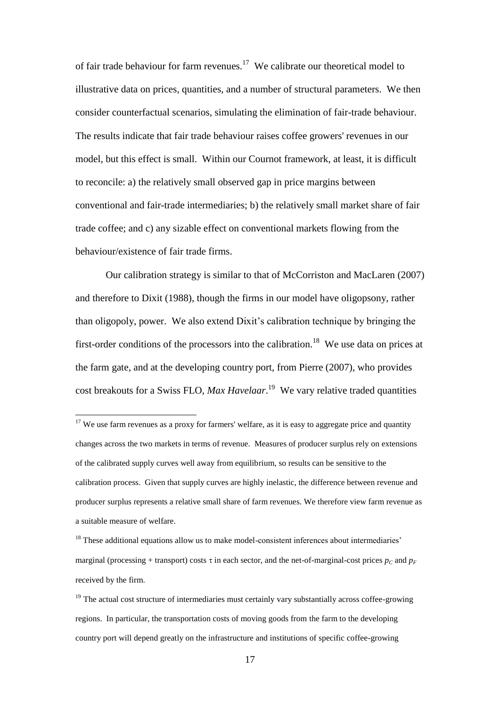of fair trade behaviour for farm revenues.<sup>17</sup> We calibrate our theoretical model to illustrative data on prices, quantities, and a number of structural parameters. We then consider counterfactual scenarios, simulating the elimination of fair-trade behaviour. The results indicate that fair trade behaviour raises coffee growers' revenues in our model, but this effect is small. Within our Cournot framework, at least, it is difficult to reconcile: a) the relatively small observed gap in price margins between conventional and fair-trade intermediaries; b) the relatively small market share of fair trade coffee; and c) any sizable effect on conventional markets flowing from the behaviour/existence of fair trade firms.

Our calibration strategy is similar to that of McCorriston and MacLaren (2007) and therefore to Dixit (1988), though the firms in our model have oligopsony, rather than oligopoly, power. We also extend Dixit's calibration technique by bringing the first-order conditions of the processors into the calibration.<sup>18</sup> We use data on prices at the farm gate, and at the developing country port, from Pierre (2007), who provides cost breakouts for a Swiss FLO, *Max Havelaar*. 19 We vary relative traded quantities

 $17$  We use farm revenues as a proxy for farmers' welfare, as it is easy to aggregate price and quantity changes across the two markets in terms of revenue. Measures of producer surplus rely on extensions of the calibrated supply curves well away from equilibrium, so results can be sensitive to the calibration process. Given that supply curves are highly inelastic, the difference between revenue and producer surplus represents a relative small share of farm revenues. We therefore view farm revenue as a suitable measure of welfare.

 $<sup>18</sup>$  These additional equations allow us to make model-consistent inferences about intermediaries'</sup> marginal (processing + transport) costs  $\tau$  in each sector, and the net-of-marginal-cost prices  $p_C$  and  $p_F$ received by the firm.

<sup>&</sup>lt;sup>19</sup> The actual cost structure of intermediaries must certainly vary substantially across coffee-growing regions. In particular, the transportation costs of moving goods from the farm to the developing country port will depend greatly on the infrastructure and institutions of specific coffee-growing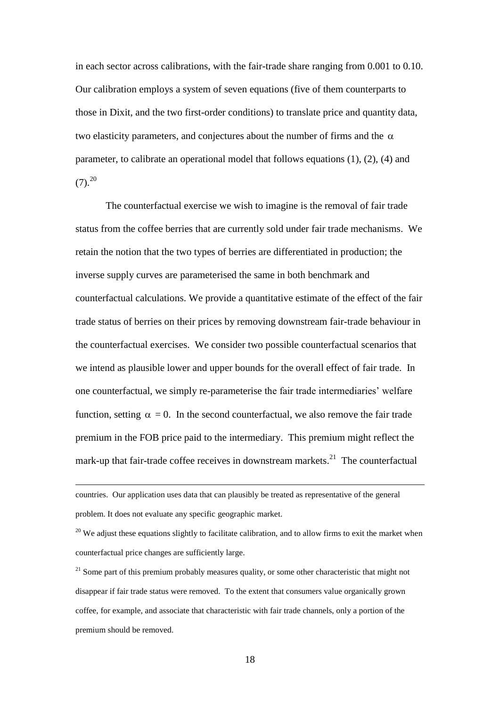in each sector across calibrations, with the fair-trade share ranging from 0.001 to 0.10. Our calibration employs a system of seven equations (five of them counterparts to those in Dixit, and the two first-order conditions) to translate price and quantity data, two elasticity parameters, and conjectures about the number of firms and the  $\alpha$ parameter, to calibrate an operational model that follows equations (1), (2), (4) and  $(7).^{20}$ 

The counterfactual exercise we wish to imagine is the removal of fair trade status from the coffee berries that are currently sold under fair trade mechanisms. We retain the notion that the two types of berries are differentiated in production; the inverse supply curves are parameterised the same in both benchmark and counterfactual calculations. We provide a quantitative estimate of the effect of the fair trade status of berries on their prices by removing downstream fair-trade behaviour in the counterfactual exercises. We consider two possible counterfactual scenarios that we intend as plausible lower and upper bounds for the overall effect of fair trade. In one counterfactual, we simply re-parameterise the fair trade intermediaries' welfare function, setting  $\alpha = 0$ . In the second counterfactual, we also remove the fair trade premium in the FOB price paid to the intermediary. This premium might reflect the mark-up that fair-trade coffee receives in downstream markets.<sup>21</sup> The counterfactual

countries. Our application uses data that can plausibly be treated as representative of the general problem. It does not evaluate any specific geographic market.

 $20$  We adjust these equations slightly to facilitate calibration, and to allow firms to exit the market when counterfactual price changes are sufficiently large.

<sup>&</sup>lt;sup>21</sup> Some part of this premium probably measures quality, or some other characteristic that might not disappear if fair trade status were removed. To the extent that consumers value organically grown coffee, for example, and associate that characteristic with fair trade channels, only a portion of the premium should be removed.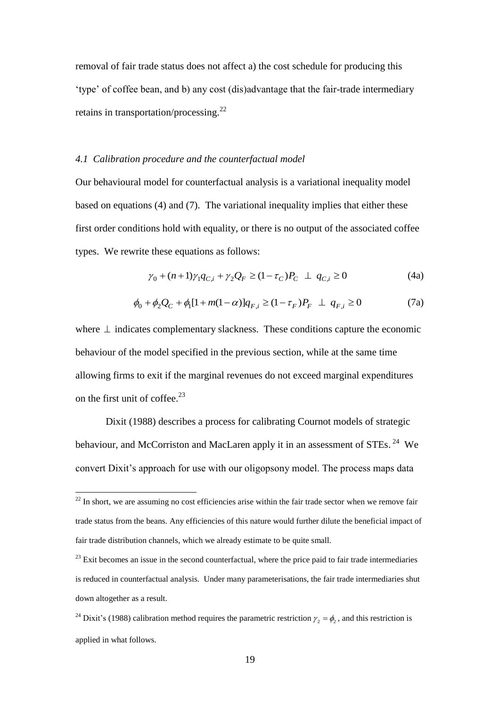removal of fair trade status does not affect a) the cost schedule for producing this 'type' of coffee bean, and b) any cost (dis)advantage that the fair-trade intermediary retains in transportation/processing.<sup>22</sup>

## *4.1 Calibration procedure and the counterfactual model*

Our behavioural model for counterfactual analysis is a variational inequality model based on equations (4) and (7). The variational inequality implies that either these first order conditions hold with equality, or there is no output of the associated coffee types. We rewrite these equations as follows:

$$
\gamma_0 + (n+1)\gamma_1 q_{C,i} + \gamma_2 Q_F \ge (1 - \tau_C)P_C \perp q_{C,i} \ge 0
$$
 (4a)

$$
\phi_0 + \phi_2 Q_C + \phi_1 [1 + m(1 - \alpha)] q_{F,i} \ge (1 - \tau_F) P_F \perp q_{F,i} \ge 0 \tag{7a}
$$

where  $\perp$  indicates complementary slackness. These conditions capture the economic behaviour of the model specified in the previous section, while at the same time allowing firms to exit if the marginal revenues do not exceed marginal expenditures on the first unit of coffee. $23$ 

Dixit (1988) describes a process for calibrating Cournot models of strategic behaviour, and McCorriston and MacLaren apply it in an assessment of STEs.<sup>24</sup> We convert Dixit's approach for use with our oligopsony model. The process maps data

 $22$  In short, we are assuming no cost efficiencies arise within the fair trade sector when we remove fair trade status from the beans. Any efficiencies of this nature would further dilute the beneficial impact of fair trade distribution channels, which we already estimate to be quite small.

 $23$  Exit becomes an issue in the second counterfactual, where the price paid to fair trade intermediaries is reduced in counterfactual analysis. Under many parameterisations, the fair trade intermediaries shut down altogether as a result.

<sup>&</sup>lt;sup>24</sup> Dixit's (1988) calibration method requires the parametric restriction  $\gamma_2 = \phi_2$ , and this restriction is applied in what follows.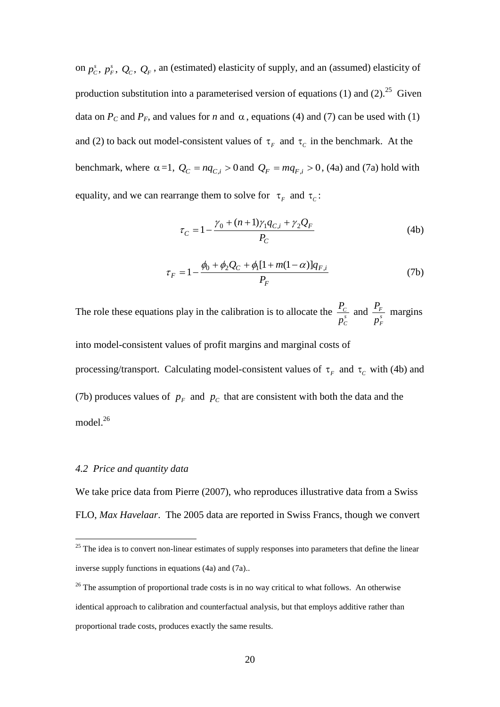on  $p_c^s$ ,  $p_f^s$ ,  $Q_c$ ,  $Q_F$ , an (estimated) elasticity of supply, and an (assumed) elasticity of production substitution into a parameterised version of equations (1) and (2).<sup>25</sup> Given data on  $P_c$  and  $P_F$ , and values for *n* and  $\alpha$ , equations (4) and (7) can be used with (1) and (2) to back out model-consistent values of  $\tau_F$  and  $\tau_C$  in the benchmark. At the benchmark, where  $\alpha = 1$ ,  $Q_C = nq_{C,i} > 0$  and  $Q_F = mq_{F,i} > 0$ , (4a) and (7a) hold with equality, and we can rearrange them to solve for  $\tau_F$  and  $\tau_C$ :

$$
\tau_C = 1 - \frac{\gamma_0 + (n+1)\gamma_1 q_{C,i} + \gamma_2 Q_F}{P_C}
$$
\n(4b)

$$
\tau_F = 1 - \frac{\phi_0 + \phi_2 Q_C + \phi_1 [1 + m(1 - \alpha)] q_{F,i}}{P_F}
$$
\n(7b)

The role these equations play in the calibration is to allocate the  $\frac{C_C}{C}$ *s C P p* and  $\frac{I_F}{I}$ *s F P p* margins

into model-consistent values of profit margins and marginal costs of processing/transport. Calculating model-consistent values of  $\tau_F$  and  $\tau_C$  with (4b) and (7b) produces values of  $p_F$  and  $p_C$  that are consistent with both the data and the model. 26

## *4.2 Price and quantity data*

 $\overline{a}$ 

We take price data from Pierre (2007), who reproduces illustrative data from a Swiss FLO, *Max Havelaar*. The 2005 data are reported in Swiss Francs, though we convert

 $25$  The idea is to convert non-linear estimates of supply responses into parameters that define the linear inverse supply functions in equations (4a) and (7a)..

<sup>&</sup>lt;sup>26</sup> The assumption of proportional trade costs is in no way critical to what follows. An otherwise identical approach to calibration and counterfactual analysis, but that employs additive rather than proportional trade costs, produces exactly the same results.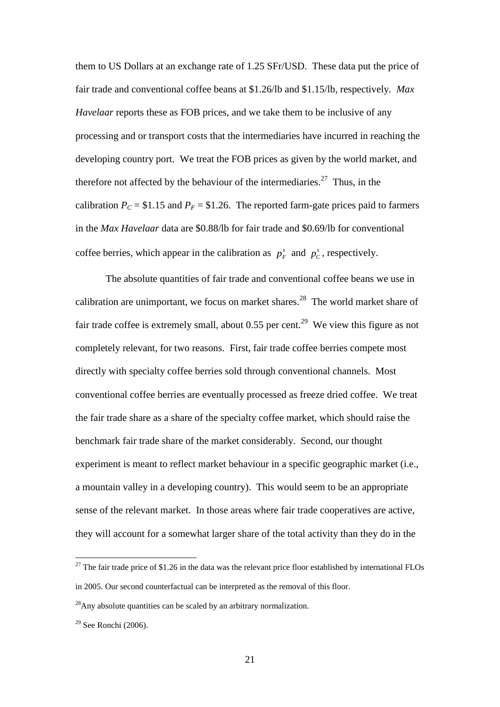them to US Dollars at an exchange rate of 1.25 SFr/USD. These data put the price of fair trade and conventional coffee beans at \$1.26/lb and \$1.15/lb, respectively. *Max Havelaar* reports these as FOB prices, and we take them to be inclusive of any processing and or transport costs that the intermediaries have incurred in reaching the developing country port. We treat the FOB prices as given by the world market, and therefore not affected by the behaviour of the intermediaries.<sup>27</sup> Thus, in the calibration  $P_C = $1.15$  and  $P_F = $1.26$ . The reported farm-gate prices paid to farmers in the *Max Havelaar* data are \$0.88/lb for fair trade and \$0.69/lb for conventional coffee berries, which appear in the calibration as  $p_F^s$  and  $p_C^s$ , respectively.

The absolute quantities of fair trade and conventional coffee beans we use in calibration are unimportant, we focus on market shares.<sup>28</sup> The world market share of fair trade coffee is extremely small, about  $0.55$  per cent.<sup>29</sup> We view this figure as not completely relevant, for two reasons. First, fair trade coffee berries compete most directly with specialty coffee berries sold through conventional channels. Most conventional coffee berries are eventually processed as freeze dried coffee. We treat the fair trade share as a share of the specialty coffee market, which should raise the benchmark fair trade share of the market considerably. Second, our thought experiment is meant to reflect market behaviour in a specific geographic market (i.e., a mountain valley in a developing country). This would seem to be an appropriate sense of the relevant market. In those areas where fair trade cooperatives are active, they will account for a somewhat larger share of the total activity than they do in the

<sup>&</sup>lt;sup>27</sup> The fair trade price of \$1.26 in the data was the relevant price floor established by international FLOs in 2005. Our second counterfactual can be interpreted as the removal of this floor.

 $^{28}$ Any absolute quantities can be scaled by an arbitrary normalization.

 $29$  See Ronchi (2006).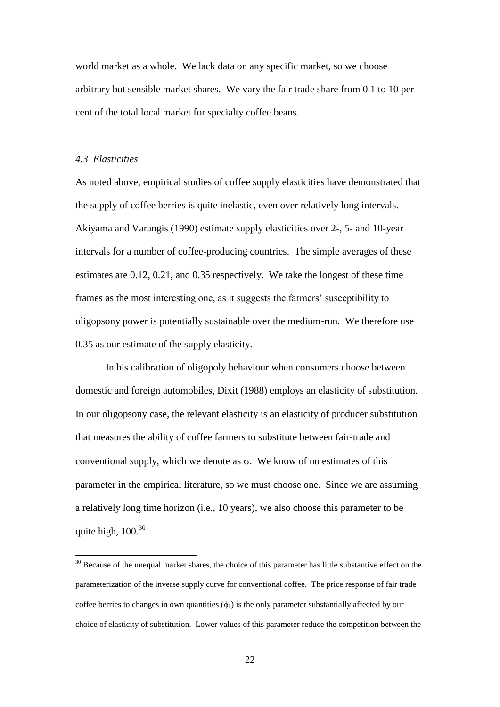world market as a whole. We lack data on any specific market, so we choose arbitrary but sensible market shares. We vary the fair trade share from 0.1 to 10 per cent of the total local market for specialty coffee beans.

### *4.3 Elasticities*

 $\overline{a}$ 

As noted above, empirical studies of coffee supply elasticities have demonstrated that the supply of coffee berries is quite inelastic, even over relatively long intervals. Akiyama and Varangis (1990) estimate supply elasticities over 2-, 5- and 10-year intervals for a number of coffee-producing countries. The simple averages of these estimates are 0.12, 0.21, and 0.35 respectively. We take the longest of these time frames as the most interesting one, as it suggests the farmers' susceptibility to oligopsony power is potentially sustainable over the medium-run. We therefore use 0.35 as our estimate of the supply elasticity.

In his calibration of oligopoly behaviour when consumers choose between domestic and foreign automobiles, Dixit (1988) employs an elasticity of substitution. In our oligopsony case, the relevant elasticity is an elasticity of producer substitution that measures the ability of coffee farmers to substitute between fair-trade and conventional supply, which we denote as  $\sigma$ . We know of no estimates of this parameter in the empirical literature, so we must choose one. Since we are assuming a relatively long time horizon (i.e., 10 years), we also choose this parameter to be quite high,  $100^{30}$ 

<sup>&</sup>lt;sup>30</sup> Because of the unequal market shares, the choice of this parameter has little substantive effect on the parameterization of the inverse supply curve for conventional coffee. The price response of fair trade coffee berries to changes in own quantities  $(\phi_1)$  is the only parameter substantially affected by our choice of elasticity of substitution. Lower values of this parameter reduce the competition between the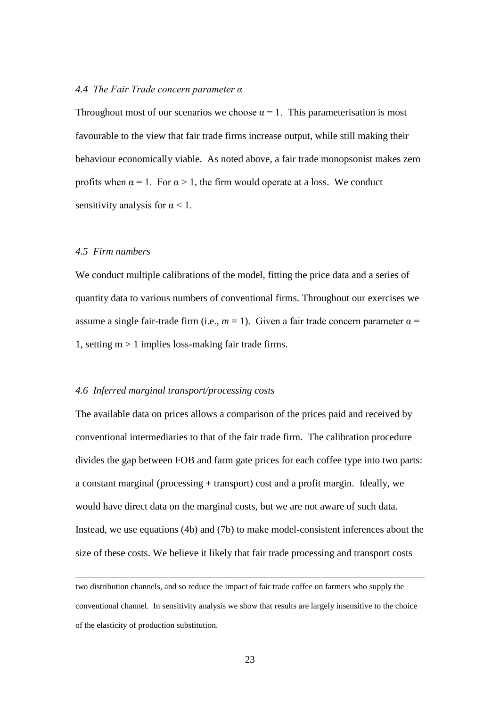## *4.4 The Fair Trade concern parameter α*

Throughout most of our scenarios we choose  $\alpha = 1$ . This parameterisation is most favourable to the view that fair trade firms increase output, while still making their behaviour economically viable. As noted above, a fair trade monopsonist makes zero profits when  $\alpha = 1$ . For  $\alpha > 1$ , the firm would operate at a loss. We conduct sensitivity analysis for  $\alpha$  < 1.

### *4.5 Firm numbers*

 $\overline{a}$ 

We conduct multiple calibrations of the model, fitting the price data and a series of quantity data to various numbers of conventional firms. Throughout our exercises we assume a single fair-trade firm (i.e.,  $m = 1$ ). Given a fair trade concern parameter  $\alpha$  = 1, setting  $m > 1$  implies loss-making fair trade firms.

## *4.6 Inferred marginal transport/processing costs*

The available data on prices allows a comparison of the prices paid and received by conventional intermediaries to that of the fair trade firm. The calibration procedure divides the gap between FOB and farm gate prices for each coffee type into two parts: a constant marginal (processing + transport) cost and a profit margin. Ideally, we would have direct data on the marginal costs, but we are not aware of such data. Instead, we use equations (4b) and (7b) to make model-consistent inferences about the size of these costs. We believe it likely that fair trade processing and transport costs

two distribution channels, and so reduce the impact of fair trade coffee on farmers who supply the conventional channel. In sensitivity analysis we show that results are largely insensitive to the choice of the elasticity of production substitution.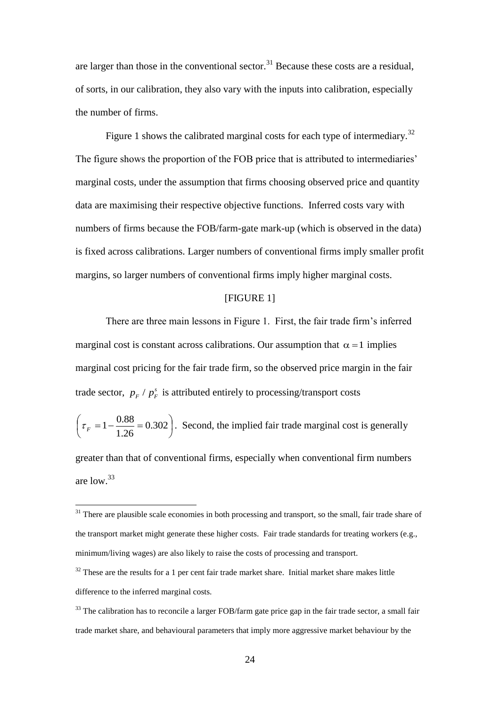are larger than those in the conventional sector.<sup>31</sup> Because these costs are a residual, of sorts, in our calibration, they also vary with the inputs into calibration, especially the number of firms.

Figure 1 shows the calibrated marginal costs for each type of intermediary.<sup>32</sup> The figure shows the proportion of the FOB price that is attributed to intermediaries' marginal costs, under the assumption that firms choosing observed price and quantity data are maximising their respective objective functions. Inferred costs vary with numbers of firms because the FOB/farm-gate mark-up (which is observed in the data) is fixed across calibrations. Larger numbers of conventional firms imply smaller profit margins, so larger numbers of conventional firms imply higher marginal costs.

# [FIGURE 1]

There are three main lessons in Figure 1. First, the fair trade firm's inferred marginal cost is constant across calibrations. Our assumption that  $\alpha = 1$  implies marginal cost pricing for the fair trade firm, so the observed price margin in the fair trade sector,  $p_F / p_F^s$  is attributed entirely to processing/transport costs

$$
\left(\tau_F = 1 - \frac{0.88}{1.26} = 0.302\right).
$$
 Second, the implied fair trade marginal cost is generally

greater than that of conventional firms, especially when conventional firm numbers are low.<sup>33</sup>

<sup>&</sup>lt;sup>31</sup> There are plausible scale economies in both processing and transport, so the small, fair trade share of the transport market might generate these higher costs. Fair trade standards for treating workers (e.g., minimum/living wages) are also likely to raise the costs of processing and transport.

 $32$  These are the results for a 1 per cent fair trade market share. Initial market share makes little difference to the inferred marginal costs.

<sup>&</sup>lt;sup>33</sup> The calibration has to reconcile a larger FOB/farm gate price gap in the fair trade sector, a small fair trade market share, and behavioural parameters that imply more aggressive market behaviour by the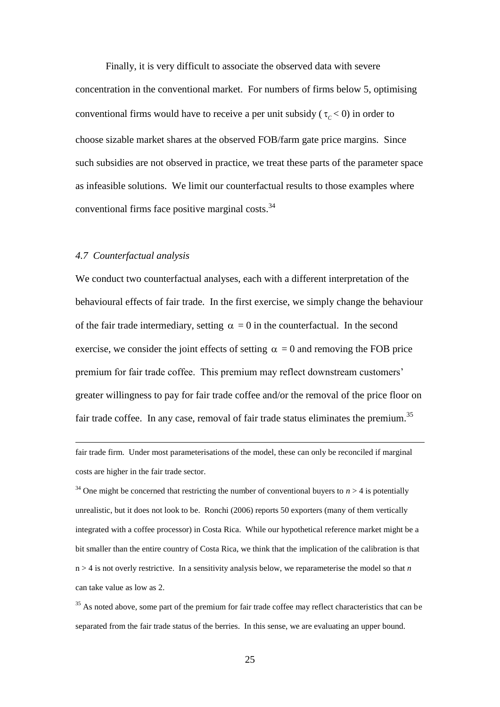Finally, it is very difficult to associate the observed data with severe concentration in the conventional market. For numbers of firms below 5, optimising conventional firms would have to receive a per unit subsidy ( $\tau_c$  < 0) in order to choose sizable market shares at the observed FOB/farm gate price margins. Since such subsidies are not observed in practice, we treat these parts of the parameter space as infeasible solutions. We limit our counterfactual results to those examples where conventional firms face positive marginal costs.<sup>34</sup>

## *4.7 Counterfactual analysis*

 $\overline{a}$ 

We conduct two counterfactual analyses, each with a different interpretation of the behavioural effects of fair trade. In the first exercise, we simply change the behaviour of the fair trade intermediary, setting  $\alpha = 0$  in the counterfactual. In the second exercise, we consider the joint effects of setting  $\alpha = 0$  and removing the FOB price premium for fair trade coffee. This premium may reflect downstream customers' greater willingness to pay for fair trade coffee and/or the removal of the price floor on fair trade coffee. In any case, removal of fair trade status eliminates the premium.<sup>35</sup>

fair trade firm. Under most parameterisations of the model, these can only be reconciled if marginal costs are higher in the fair trade sector.

<sup>34</sup> One might be concerned that restricting the number of conventional buyers to  $n > 4$  is potentially unrealistic, but it does not look to be. Ronchi (2006) reports 50 exporters (many of them vertically integrated with a coffee processor) in Costa Rica. While our hypothetical reference market might be a bit smaller than the entire country of Costa Rica, we think that the implication of the calibration is that n > 4 is not overly restrictive. In a sensitivity analysis below, we reparameterise the model so that *n* can take value as low as 2.

<sup>35</sup> As noted above, some part of the premium for fair trade coffee may reflect characteristics that can be separated from the fair trade status of the berries. In this sense, we are evaluating an upper bound.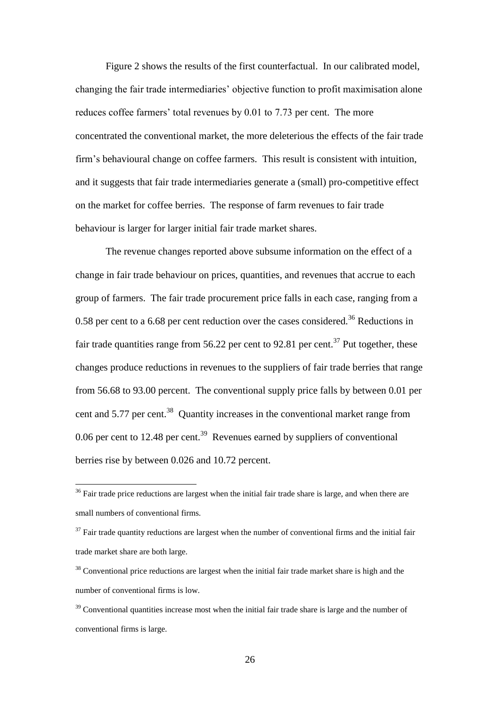Figure 2 shows the results of the first counterfactual. In our calibrated model, changing the fair trade intermediaries' objective function to profit maximisation alone reduces coffee farmers' total revenues by 0.01 to 7.73 per cent. The more concentrated the conventional market, the more deleterious the effects of the fair trade firm's behavioural change on coffee farmers. This result is consistent with intuition, and it suggests that fair trade intermediaries generate a (small) pro-competitive effect on the market for coffee berries. The response of farm revenues to fair trade behaviour is larger for larger initial fair trade market shares.

The revenue changes reported above subsume information on the effect of a change in fair trade behaviour on prices, quantities, and revenues that accrue to each group of farmers. The fair trade procurement price falls in each case, ranging from a 0.58 per cent to a 6.68 per cent reduction over the cases considered.<sup>36</sup> Reductions in fair trade quantities range from 56.22 per cent to 92.81 per cent.<sup>37</sup> Put together, these changes produce reductions in revenues to the suppliers of fair trade berries that range from 56.68 to 93.00 percent. The conventional supply price falls by between 0.01 per cent and 5.77 per cent.<sup>38</sup> Quantity increases in the conventional market range from 0.06 per cent to 12.48 per cent.<sup>39</sup> Revenues earned by suppliers of conventional berries rise by between 0.026 and 10.72 percent.

 $\overline{a}$ 

 $37$  Fair trade quantity reductions are largest when the number of conventional firms and the initial fair trade market share are both large.

<sup>38</sup> Conventional price reductions are largest when the initial fair trade market share is high and the number of conventional firms is low.

 $36$  Fair trade price reductions are largest when the initial fair trade share is large, and when there are small numbers of conventional firms.

<sup>&</sup>lt;sup>39</sup> Conventional quantities increase most when the initial fair trade share is large and the number of conventional firms is large.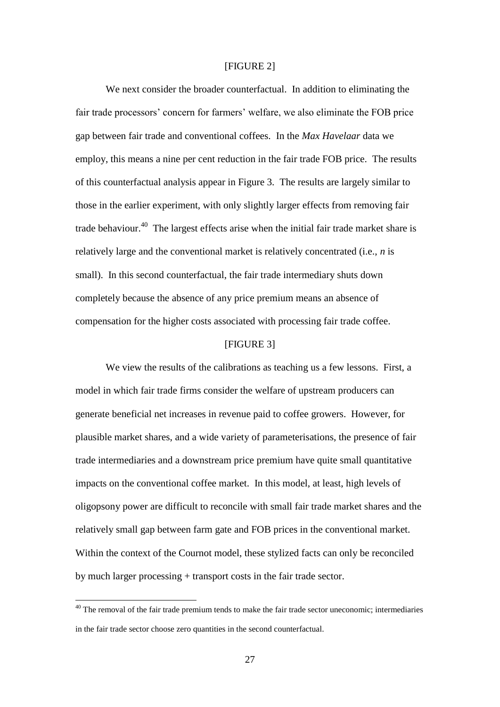#### [FIGURE 2]

We next consider the broader counterfactual. In addition to eliminating the fair trade processors' concern for farmers' welfare, we also eliminate the FOB price gap between fair trade and conventional coffees. In the *Max Havelaar* data we employ, this means a nine per cent reduction in the fair trade FOB price. The results of this counterfactual analysis appear in Figure 3. The results are largely similar to those in the earlier experiment, with only slightly larger effects from removing fair trade behaviour.<sup>40</sup> The largest effects arise when the initial fair trade market share is relatively large and the conventional market is relatively concentrated (i.e., *n* is small). In this second counterfactual, the fair trade intermediary shuts down completely because the absence of any price premium means an absence of compensation for the higher costs associated with processing fair trade coffee.

## [FIGURE 3]

We view the results of the calibrations as teaching us a few lessons. First, a model in which fair trade firms consider the welfare of upstream producers can generate beneficial net increases in revenue paid to coffee growers. However, for plausible market shares, and a wide variety of parameterisations, the presence of fair trade intermediaries and a downstream price premium have quite small quantitative impacts on the conventional coffee market. In this model, at least, high levels of oligopsony power are difficult to reconcile with small fair trade market shares and the relatively small gap between farm gate and FOB prices in the conventional market. Within the context of the Cournot model, these stylized facts can only be reconciled by much larger processing + transport costs in the fair trade sector.

 $40$  The removal of the fair trade premium tends to make the fair trade sector uneconomic; intermediaries in the fair trade sector choose zero quantities in the second counterfactual.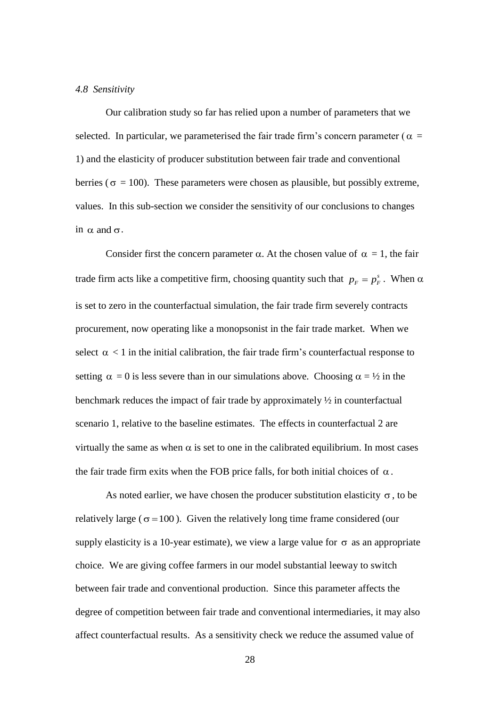### *4.8 Sensitivity*

Our calibration study so far has relied upon a number of parameters that we selected. In particular, we parameterised the fair trade firm's concern parameter ( $\alpha =$ 1) and the elasticity of producer substitution between fair trade and conventional berries ( $\sigma = 100$ ). These parameters were chosen as plausible, but possibly extreme, values. In this sub-section we consider the sensitivity of our conclusions to changes in  $\alpha$  and  $\sigma$ .

Consider first the concern parameter  $\alpha$ . At the chosen value of  $\alpha = 1$ , the fair trade firm acts like a competitive firm, choosing quantity such that  $p_F = p_F^s$ . When  $\alpha$ is set to zero in the counterfactual simulation, the fair trade firm severely contracts procurement, now operating like a monopsonist in the fair trade market. When we select  $\alpha$  < 1 in the initial calibration, the fair trade firm's counterfactual response to setting  $\alpha = 0$  is less severe than in our simulations above. Choosing  $\alpha = \frac{1}{2}$  in the benchmark reduces the impact of fair trade by approximately ½ in counterfactual scenario 1, relative to the baseline estimates. The effects in counterfactual 2 are virtually the same as when  $\alpha$  is set to one in the calibrated equilibrium. In most cases the fair trade firm exits when the FOB price falls, for both initial choices of  $\alpha$ .

As noted earlier, we have chosen the producer substitution elasticity  $\sigma$ , to be relatively large ( $\sigma$ =100). Given the relatively long time frame considered (our supply elasticity is a 10-year estimate), we view a large value for  $\sigma$  as an appropriate choice. We are giving coffee farmers in our model substantial leeway to switch between fair trade and conventional production. Since this parameter affects the degree of competition between fair trade and conventional intermediaries, it may also affect counterfactual results. As a sensitivity check we reduce the assumed value of

28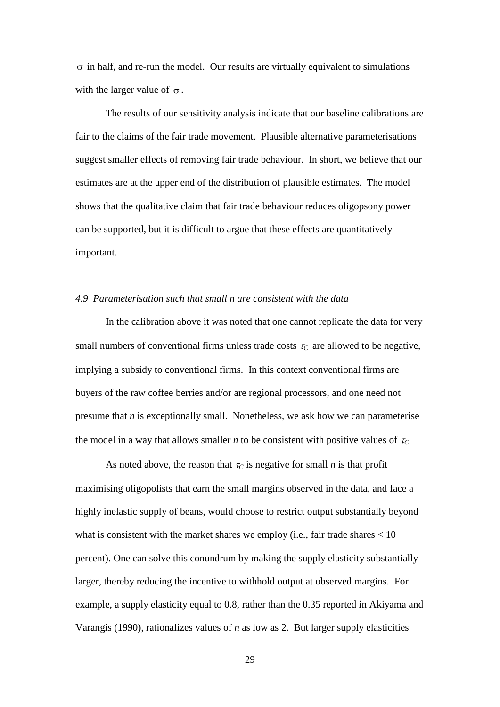$\sigma$  in half, and re-run the model. Our results are virtually equivalent to simulations with the larger value of  $\sigma$ .

The results of our sensitivity analysis indicate that our baseline calibrations are fair to the claims of the fair trade movement. Plausible alternative parameterisations suggest smaller effects of removing fair trade behaviour. In short, we believe that our estimates are at the upper end of the distribution of plausible estimates. The model shows that the qualitative claim that fair trade behaviour reduces oligopsony power can be supported, but it is difficult to argue that these effects are quantitatively important.

## *4.9 Parameterisation such that small n are consistent with the data*

In the calibration above it was noted that one cannot replicate the data for very small numbers of conventional firms unless trade costs  $\tau_C$  are allowed to be negative, implying a subsidy to conventional firms. In this context conventional firms are buyers of the raw coffee berries and/or are regional processors, and one need not presume that *n* is exceptionally small. Nonetheless, we ask how we can parameterise the model in a way that allows smaller *n* to be consistent with positive values of  $\tau_c$ 

σ in half, and re-run the model. Our results<br>with the larger value of σ.<br>The results of our sensitivity analysis<br>fair to the claims of the fair trade movement.<br>suggest smaller effects of removing fair trad<br>estimates are As noted above, the reason that  $\tau_C$  is negative for small *n* is that profit maximising oligopolists that earn the small margins observed in the data, and face a highly inelastic supply of beans, would choose to restrict output substantially beyond what is consistent with the market shares we employ (i.e., fair trade shares  $< 10$ ) percent). One can solve this conundrum by making the supply elasticity substantially larger, thereby reducing the incentive to withhold output at observed margins. For example, a supply elasticity equal to 0.8, rather than the 0.35 reported in Akiyama and Varangis (1990), rationalizes values of *n* as low as 2. But larger supply elasticities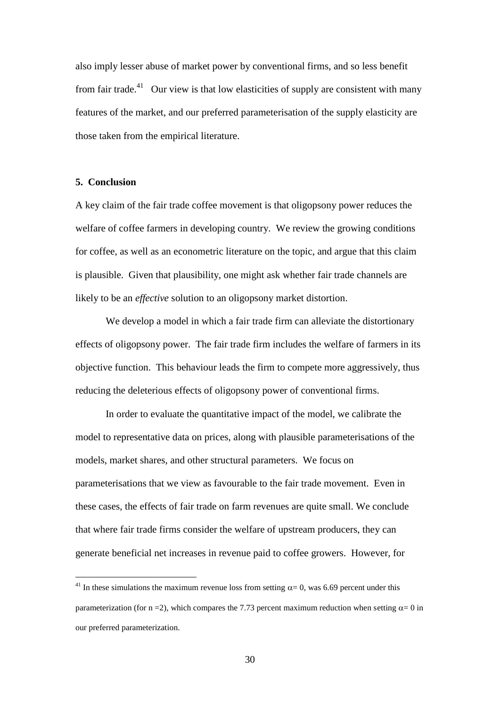also imply lesser abuse of market power by conventional firms, and so less benefit from fair trade.<sup>41</sup> Our view is that low elasticities of supply are consistent with many features of the market, and our preferred parameterisation of the supply elasticity are those taken from the empirical literature.

# **5. Conclusion**

 $\overline{a}$ 

A key claim of the fair trade coffee movement is that oligopsony power reduces the welfare of coffee farmers in developing country. We review the growing conditions for coffee, as well as an econometric literature on the topic, and argue that this claim is plausible. Given that plausibility, one might ask whether fair trade channels are likely to be an *effective* solution to an oligopsony market distortion.

We develop a model in which a fair trade firm can alleviate the distortionary effects of oligopsony power. The fair trade firm includes the welfare of farmers in its objective function. This behaviour leads the firm to compete more aggressively, thus reducing the deleterious effects of oligopsony power of conventional firms.

In order to evaluate the quantitative impact of the model, we calibrate the model to representative data on prices, along with plausible parameterisations of the models, market shares, and other structural parameters. We focus on parameterisations that we view as favourable to the fair trade movement. Even in these cases, the effects of fair trade on farm revenues are quite small. We conclude that where fair trade firms consider the welfare of upstream producers, they can generate beneficial net increases in revenue paid to coffee growers. However, for

<sup>&</sup>lt;sup>41</sup> In these simulations the maximum revenue loss from setting  $\alpha = 0$ , was 6.69 percent under this parameterization (for n = 2), which compares the 7.73 percent maximum reduction when setting  $\alpha = 0$  in our preferred parameterization.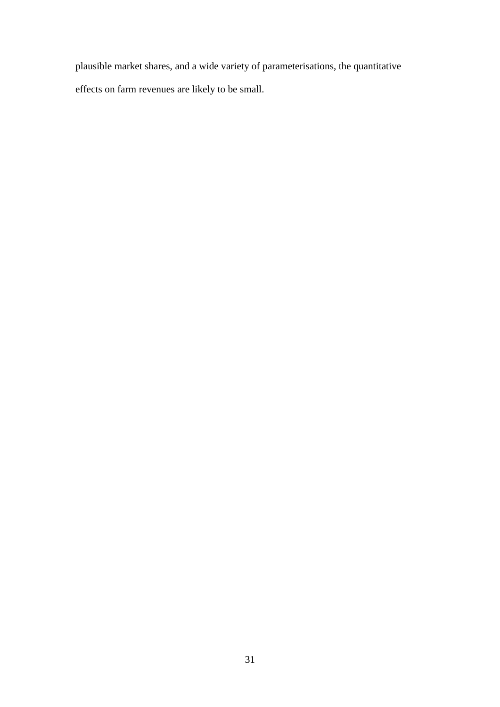plausible market shares, and a wide variety of parameterisations, the quantitative effects on farm revenues are likely to be small.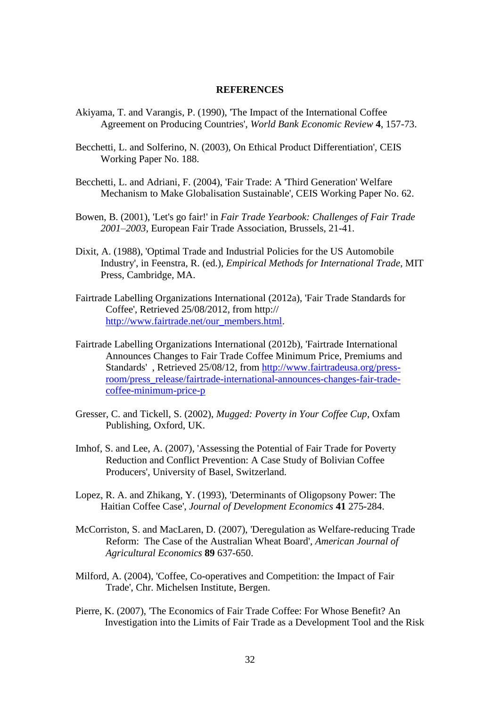### **REFERENCES**

- Akiyama, T. and Varangis, P. (1990), 'The Impact of the International Coffee Agreement on Producing Countries', *World Bank Economic Review* **4**, 157-73.
- Becchetti, L. and Solferino, N. (2003), On Ethical Product Differentiation', CEIS Working Paper No. 188.
- Becchetti, L. and Adriani, F. (2004), 'Fair Trade: A 'Third Generation' Welfare Mechanism to Make Globalisation Sustainable', CEIS Working Paper No. 62.
- Bowen, B. (2001), 'Let's go fair!' in *Fair Trade Yearbook: Challenges of Fair Trade 2001–2003*, European Fair Trade Association, Brussels, 21-41.
- Dixit, A. (1988), 'Optimal Trade and Industrial Policies for the US Automobile Industry', in Feenstra, R. (ed.), *Empirical Methods for International Trade*, MIT Press, Cambridge, MA.
- Fairtrade Labelling Organizations International (2012a), 'Fair Trade Standards for Coffee', Retrieved 25/08/2012, from http:// [http://www.fairtrade.net/our\\_members.html.](http://www.fairtrade.net/our_members.html)
- Fairtrade Labelling Organizations International (2012b), 'Fairtrade International Announces Changes to Fair Trade Coffee Minimum Price, Premiums and Standards' , Retrieved 25/08/12, from [http://www.fairtradeusa.org/press](http://www.fairtradeusa.org/press-room/press_release/fairtrade-international-announces-changes-fair-trade-coffee-minimum-price-p)[room/press\\_release/fairtrade-international-announces-changes-fair-trade](http://www.fairtradeusa.org/press-room/press_release/fairtrade-international-announces-changes-fair-trade-coffee-minimum-price-p)[coffee-minimum-price-p](http://www.fairtradeusa.org/press-room/press_release/fairtrade-international-announces-changes-fair-trade-coffee-minimum-price-p)
- Gresser, C. and Tickell, S. (2002), *Mugged: Poverty in Your Coffee Cup*, Oxfam Publishing, Oxford, UK.
- Imhof, S. and Lee, A. (2007), 'Assessing the Potential of Fair Trade for Poverty Reduction and Conflict Prevention: A Case Study of Bolivian Coffee Producers', University of Basel, Switzerland.
- Lopez, R. A. and Zhikang, Y. (1993), 'Determinants of Oligopsony Power: The Haitian Coffee Case', *Journal of Development Economics* **41** 275-284.
- McCorriston, S. and MacLaren, D. (2007), 'Deregulation as Welfare-reducing Trade Reform: The Case of the Australian Wheat Board', *American Journal of Agricultural Economics* **89** 637-650.
- Milford, A. (2004), 'Coffee, Co-operatives and Competition: the Impact of Fair Trade', Chr. Michelsen Institute, Bergen.
- Pierre, K. (2007), 'The Economics of Fair Trade Coffee: For Whose Benefit? An Investigation into the Limits of Fair Trade as a Development Tool and the Risk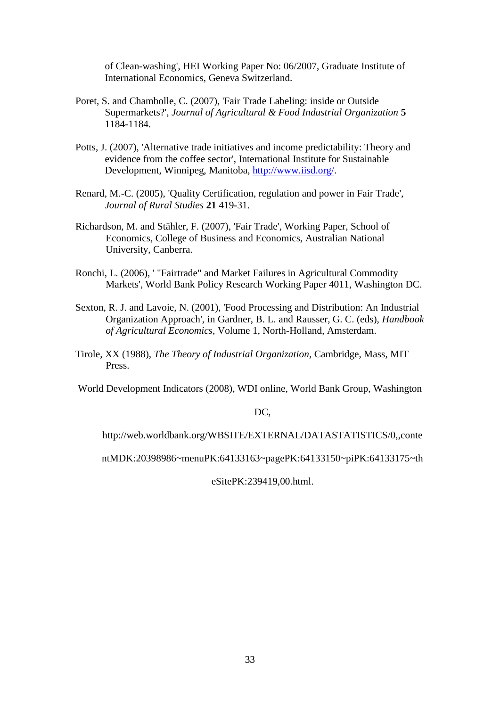of Clean-washing', HEI Working Paper No: 06/2007, Graduate Institute of International Economics, Geneva Switzerland.

- Poret, S. and Chambolle, C. (2007), 'Fair Trade Labeling: inside or Outside Supermarkets?', *[Journal of Agricultural & Food Industrial Organization](http://ideas.repec.org/s/bep/bjafio.html)* **5** 1184-1184.
- Potts, J. (2007), 'Alternative trade initiatives and income predictability: Theory and evidence from the coffee sector', International Institute for Sustainable Development, Winnipeg, Manitoba, [http://www.iisd.org/.](http://www.iisd.org/)
- Renard, M.-C. (2005), 'Quality Certification, regulation and power in Fair Trade', *Journal of Rural Studies* **21** 419-31.
- Richardson, M. and Stähler, F. (2007), 'Fair Trade', Working Paper, School of Economics, College of Business and Economics, Australian National University, Canberra.
- Ronchi, L. (2006), ' "Fairtrade" and Market Failures in Agricultural Commodity Markets', World Bank Policy Research Working Paper 4011, Washington DC.
- Sexton, R. J. and Lavoie, N. (2001), 'Food Processing and Distribution: An Industrial Organization Approach', in Gardner, B. L. and Rausser, G. C. (eds), *Handbook of Agricultural Economics*, Volume 1, North-Holland, Amsterdam.
- Tirole, XX (1988), *The Theory of Industrial Organization*, Cambridge, Mass, MIT Press.

World Development Indicators (2008), WDI online, World Bank Group, Washington

DC,

http://web.worldbank.org/WBSITE/EXTERNAL/DATASTATISTICS/0,,conte

ntMDK:20398986~menuPK:64133163~pagePK:64133150~piPK:64133175~th

eSitePK:239419,00.html.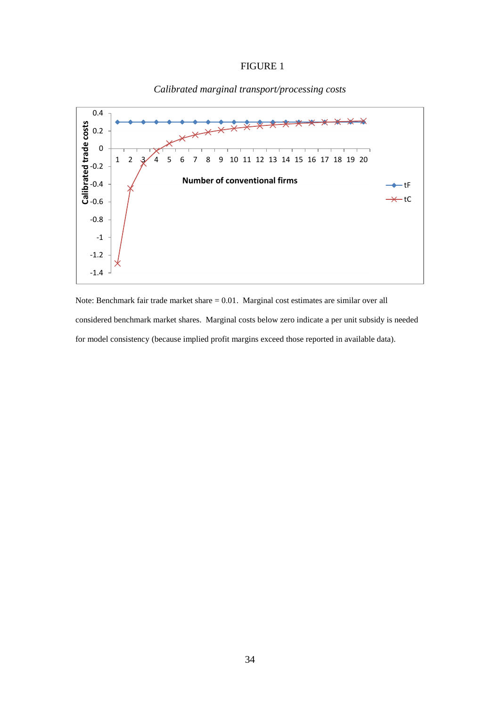### FIGURE 1



# *Calibrated marginal transport/processing costs*

Note: Benchmark fair trade market share = 0.01. Marginal cost estimates are similar over all considered benchmark market shares. Marginal costs below zero indicate a per unit subsidy is needed for model consistency (because implied profit margins exceed those reported in available data).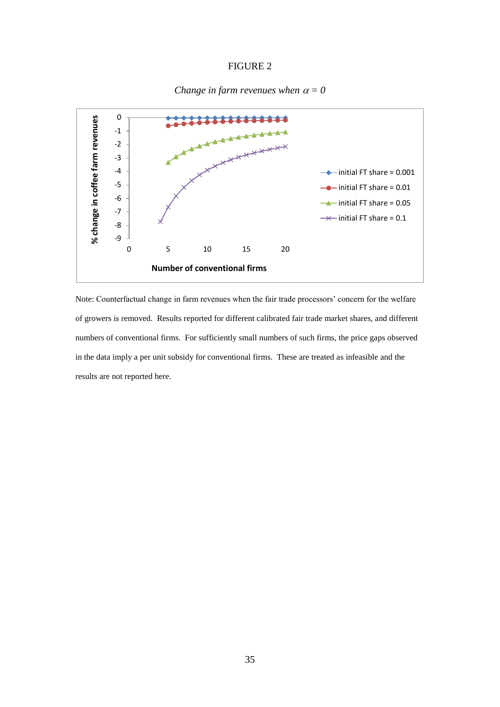#### FIGURE 2





Note: Counterfactual change in farm revenues when the fair trade processors' concern for the welfare of growers is removed. Results reported for different calibrated fair trade market shares, and different numbers of conventional firms. For sufficiently small numbers of such firms, the price gaps observed in the data imply a per unit subsidy for conventional firms. These are treated as infeasible and the results are not reported here.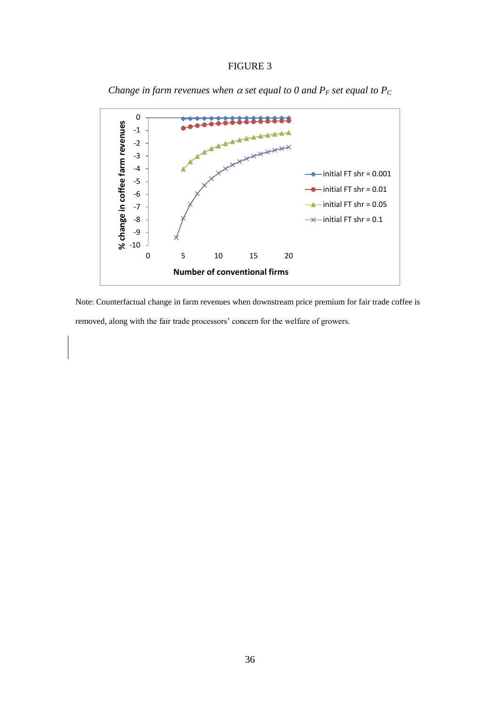#### FIGURE 3



*Change in farm revenues when*  $\alpha$  *set equal to*  $0$  *and*  $P_F$  *set equal to*  $P_C$ 

Note: Counterfactual change in farm revenues when downstream price premium for fair trade coffee is removed, along with the fair trade processors' concern for the welfare of growers.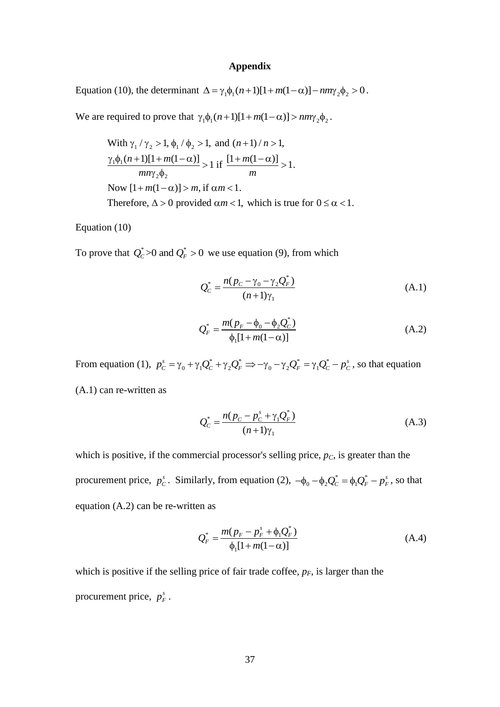### **Appendix**

Equation (10), the determinant  $\Delta = \gamma_1 \phi_1 (n+1) [1 + m(1-\alpha)] - n m \gamma_2 \phi_2 > 0$ .

We are required to prove that  $\gamma_1 \phi_1(n+1)[1 + m(1-\alpha)] > nm\gamma_2 \phi_2$ .

required to prove that 
$$
\gamma_1\phi_1(n+1)[1+m(1-\alpha)] > nm\gamma_2\phi_2
$$
.  
\nWith  $\gamma_1/\gamma_2 > 1$ ,  $\phi_1/\phi_2 > 1$ , and  $(n+1)/n > 1$ ,  
\n $\frac{\gamma_1\phi_1(n+1)[1+m(1-\alpha)]}{mn\gamma_2\phi_2} > 1$  if  $\frac{[1+m(1-\alpha)]}{m} > 1$ .  
\nNow  $[1+m(1-\alpha)] > m$ , if  $\alpha m < 1$ .  
\nTherefore,  $\Delta > 0$  provided  $\alpha m < 1$ , which is true for  $0 \le \alpha < 1$ .

Equation (10)

To prove that  $Q_c^* > 0$  and  $Q_F^* > 0$  we use equation (9), from which

$$
Q_{C}^{*} = \frac{n(p_{C} - \gamma_{0} - \gamma_{2}Q_{F}^{*})}{(n+1)\gamma_{1}}
$$
\n(A.1)

$$
Q_F^* = \frac{m(p_F - \phi_0 - \phi_2 Q_C^*)}{\phi_1 [1 + m(1 - \alpha)]}
$$
 (A.2)

From equation (1),  $p_c^s = \gamma_0 + \gamma_1 Q_c^* + \gamma_2 Q_F^* \Rightarrow -\gamma_0 - \gamma_2 Q_F^* = \gamma_1 Q_C^*$  $\gamma_0 + \gamma_1 Q_C^* + \gamma_2 Q_F^* \Rightarrow -\gamma_0 - \gamma_2 Q_F^* = \gamma_1$  $S_c^s = \gamma_0 + \gamma_0 Q_c^* + \gamma_0 Q_c^* \implies -\gamma_0 - \gamma_0 Q_c^* = \gamma_0 Q_c^* - p_c^*$  $p_c^s = \gamma_0 + \gamma_1 Q_c^* + \gamma_2 Q_F^* \implies -\gamma_0 - \gamma_2 Q_F^* = \gamma_1 Q_c^* - p_c^s$ , so that equation (A.1) can re-written as

$$
Q_{C}^{*} = \frac{n(p_{C} - p_{C}^{s} + \gamma_{1}Q_{F}^{*})}{(n+1)\gamma_{1}}
$$
\n(A.3)

which is positive, if the commercial processor's selling price,  $p<sub>C</sub>$ , is greater than the procurement price,  $p_c^s$ . Similarly, from equation (2),  $-\phi_0 - \phi_2 Q_c^* = \phi_1 Q_F^*$  $-\phi_0 - \phi_2 Q_C^* = \phi_1 Q_F^* - p_F^s$ , so that equation (A.2) can be re-written as

$$
Q_F^* = \frac{m(p_F - p_F^s + \phi_1 Q_F^*)}{\phi_1 [1 + m(1 - \alpha)]}
$$
 (A.4)

which is positive if the selling price of fair trade coffee,  $p_F$ , is larger than the procurement price,  $p_F^s$ .